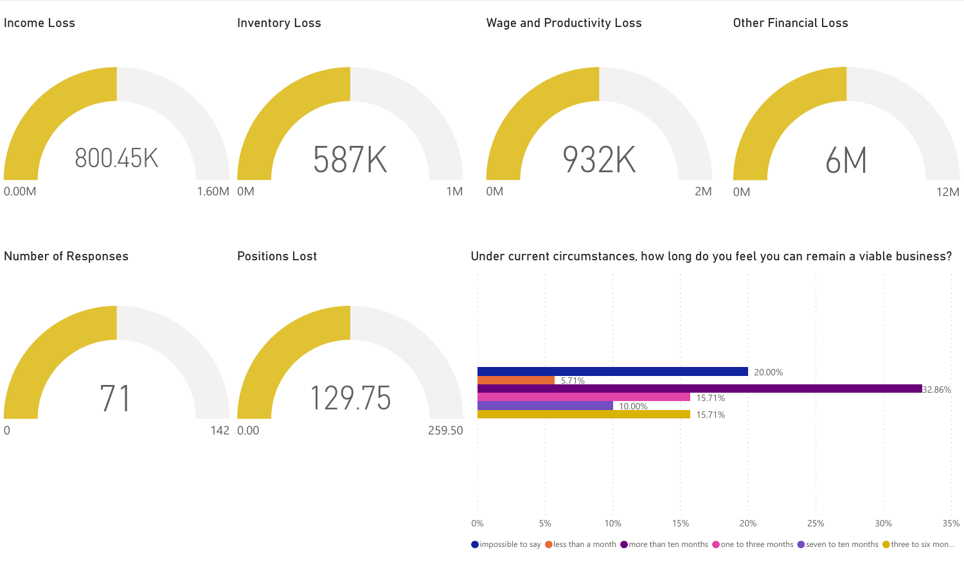

 $\bigcirc$  impossible to say  $\bigcirc$  less than a month  $\bigcirc$  more than ten months  $\bigcirc$  one to three months  $\bigcirc$  seven to ten months  $\bigcirc$  three to six mon...